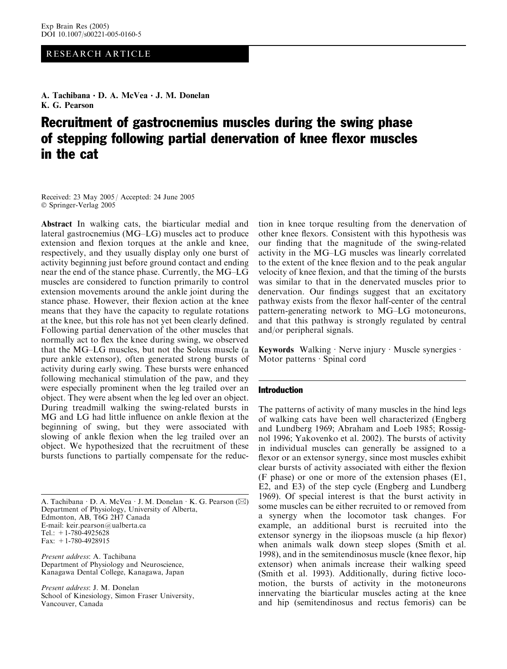# RESEARCH ARTICLE

A. Tachibana · D. A. McVea · J. M. Donelan K. G. Pearson

# Recruitment of gastrocnemius muscles during the swing phase of stepping following partial denervation of knee flexor muscles in the cat

Received: 23 May 2005 / Accepted: 24 June 2005 Springer-Verlag 2005

Abstract In walking cats, the biarticular medial and lateral gastrocnemius (MG–LG) muscles act to produce extension and flexion torques at the ankle and knee, respectively, and they usually display only one burst of activity beginning just before ground contact and ending near the end of the stance phase. Currently, the MG–LG muscles are considered to function primarily to control extension movements around the ankle joint during the stance phase. However, their flexion action at the knee means that they have the capacity to regulate rotations at the knee, but this role has not yet been clearly defined. Following partial denervation of the other muscles that normally act to flex the knee during swing, we observed that the MG–LG muscles, but not the Soleus muscle (a pure ankle extensor), often generated strong bursts of activity during early swing. These bursts were enhanced following mechanical stimulation of the paw, and they were especially prominent when the leg trailed over an object. They were absent when the leg led over an object. During treadmill walking the swing-related bursts in MG and LG had little influence on ankle flexion at the beginning of swing, but they were associated with slowing of ankle flexion when the leg trailed over an object. We hypothesized that the recruitment of these bursts functions to partially compensate for the reduc-

A. Tachibana  $\cdot$  D. A. McVea  $\cdot$  J. M. Donelan  $\cdot$  K. G. Pearson ( $\boxtimes$ ) Department of Physiology, University of Alberta, Edmonton, AB, T6G 2H7 Canada E-mail: keir.pearson@ualberta.ca Tel.:  $+1-780-4925628$ Fax: +1-780-4928915

Present address: A. Tachibana Department of Physiology and Neuroscience, Kanagawa Dental College, Kanagawa, Japan

Present address: J. M. Donelan School of Kinesiology, Simon Fraser University, Vancouver, Canada

tion in knee torque resulting from the denervation of other knee flexors. Consistent with this hypothesis was our finding that the magnitude of the swing-related activity in the MG–LG muscles was linearly correlated to the extent of the knee flexion and to the peak angular velocity of knee flexion, and that the timing of the bursts was similar to that in the denervated muscles prior to denervation. Our findings suggest that an excitatory pathway exists from the flexor half-center of the central pattern-generating network to MG–LG motoneurons, and that this pathway is strongly regulated by central and/or peripheral signals.

Keywords Walking · Nerve injury · Muscle synergies  $\cdot$ Motor patterns · Spinal cord

#### Introduction

The patterns of activity of many muscles in the hind legs of walking cats have been well characterized (Engberg and Lundberg 1969; Abraham and Loeb 1985; Rossignol 1996; Yakovenko et al. 2002). The bursts of activity in individual muscles can generally be assigned to a flexor or an extensor synergy, since most muscles exhibit clear bursts of activity associated with either the flexion (F phase) or one or more of the extension phases (E1, E2, and E3) of the step cycle (Engberg and Lundberg 1969). Of special interest is that the burst activity in some muscles can be either recruited to or removed from a synergy when the locomotor task changes. For example, an additional burst is recruited into the extensor synergy in the iliopsoas muscle (a hip flexor) when animals walk down steep slopes (Smith et al. 1998), and in the semitendinosus muscle (knee flexor, hip extensor) when animals increase their walking speed (Smith et al. 1993). Additionally, during fictive locomotion, the bursts of activity in the motoneurons innervating the biarticular muscles acting at the knee and hip (semitendinosus and rectus femoris) can be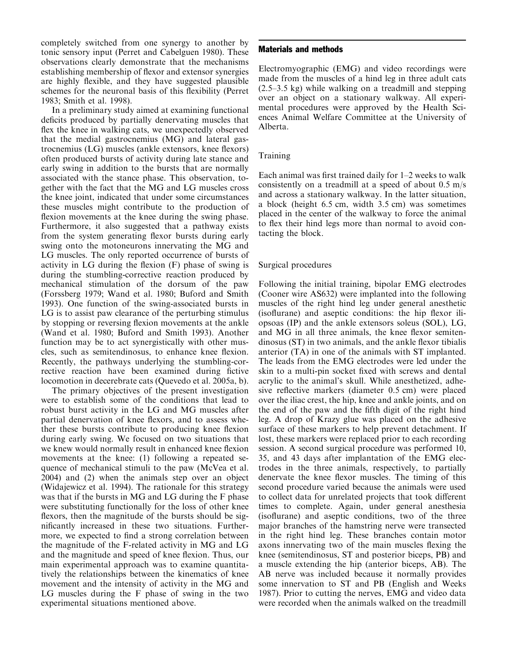completely switched from one synergy to another by tonic sensory input (Perret and Cabelguen 1980). These observations clearly demonstrate that the mechanisms establishing membership of flexor and extensor synergies are highly flexible, and they have suggested plausible schemes for the neuronal basis of this flexibility (Perret 1983; Smith et al. 1998).

In a preliminary study aimed at examining functional deficits produced by partially denervating muscles that flex the knee in walking cats, we unexpectedly observed that the medial gastrocnemius (MG) and lateral gastrocnemius (LG) muscles (ankle extensors, knee flexors) often produced bursts of activity during late stance and early swing in addition to the bursts that are normally associated with the stance phase. This observation, together with the fact that the MG and LG muscles cross the knee joint, indicated that under some circumstances these muscles might contribute to the production of flexion movements at the knee during the swing phase. Furthermore, it also suggested that a pathway exists from the system generating flexor bursts during early swing onto the motoneurons innervating the MG and LG muscles. The only reported occurrence of bursts of activity in LG during the flexion (F) phase of swing is during the stumbling-corrective reaction produced by mechanical stimulation of the dorsum of the paw (Forssberg 1979; Wand et al. 1980; Buford and Smith 1993). One function of the swing-associated bursts in LG is to assist paw clearance of the perturbing stimulus by stopping or reversing flexion movements at the ankle (Wand et al. 1980; Buford and Smith 1993). Another function may be to act synergistically with other muscles, such as semitendinosus, to enhance knee flexion. Recently, the pathways underlying the stumbling-corrective reaction have been examined during fictive locomotion in decerebrate cats (Quevedo et al. 2005a, b).

The primary objectives of the present investigation were to establish some of the conditions that lead to robust burst activity in the LG and MG muscles after partial denervation of knee flexors, and to assess whether these bursts contribute to producing knee flexion during early swing. We focused on two situations that we knew would normally result in enhanced knee flexion movements at the knee: (1) following a repeated sequence of mechanical stimuli to the paw (McVea et al. 2004) and (2) when the animals step over an object (Widajewicz et al. 1994). The rationale for this strategy was that if the bursts in MG and LG during the F phase were substituting functionally for the loss of other knee flexors, then the magnitude of the bursts should be significantly increased in these two situations. Furthermore, we expected to find a strong correlation between the magnitude of the F-related activity in MG and LG and the magnitude and speed of knee flexion. Thus, our main experimental approach was to examine quantitatively the relationships between the kinematics of knee movement and the intensity of activity in the MG and LG muscles during the F phase of swing in the two experimental situations mentioned above.

# Materials and methods

Electromyographic (EMG) and video recordings were made from the muscles of a hind leg in three adult cats (2.5–3.5 kg) while walking on a treadmill and stepping over an object on a stationary walkway. All experimental procedures were approved by the Health Sciences Animal Welfare Committee at the University of Alberta.

# Training

Each animal was first trained daily for 1–2 weeks to walk consistently on a treadmill at a speed of about 0.5 m/s and across a stationary walkway. In the latter situation, a block (height 6.5 cm, width 3.5 cm) was sometimes placed in the center of the walkway to force the animal to flex their hind legs more than normal to avoid contacting the block.

# Surgical procedures

Following the initial training, bipolar EMG electrodes (Cooner wire AS632) were implanted into the following muscles of the right hind leg under general anesthetic (isoflurane) and aseptic conditions: the hip flexor iliopsoas (IP) and the ankle extensors soleus (SOL), LG, and MG in all three animals, the knee flexor semitendinosus (ST) in two animals, and the ankle flexor tibialis anterior (TA) in one of the animals with ST implanted. The leads from the EMG electrodes were led under the skin to a multi-pin socket fixed with screws and dental acrylic to the animal's skull. While anesthetized, adhesive reflective markers (diameter 0.5 cm) were placed over the iliac crest, the hip, knee and ankle joints, and on the end of the paw and the fifth digit of the right hind leg. A drop of Krazy glue was placed on the adhesive surface of these markers to help prevent detachment. If lost, these markers were replaced prior to each recording session. A second surgical procedure was performed 10, 35, and 43 days after implantation of the EMG electrodes in the three animals, respectively, to partially denervate the knee flexor muscles. The timing of this second procedure varied because the animals were used to collect data for unrelated projects that took different times to complete. Again, under general anesthesia (isoflurane) and aseptic conditions, two of the three major branches of the hamstring nerve were transected in the right hind leg. These branches contain motor axons innervating two of the main muscles flexing the knee (semitendinosus, ST and posterior biceps, PB) and a muscle extending the hip (anterior biceps, AB). The AB nerve was included because it normally provides some innervation to ST and PB (English and Weeks 1987). Prior to cutting the nerves, EMG and video data were recorded when the animals walked on the treadmill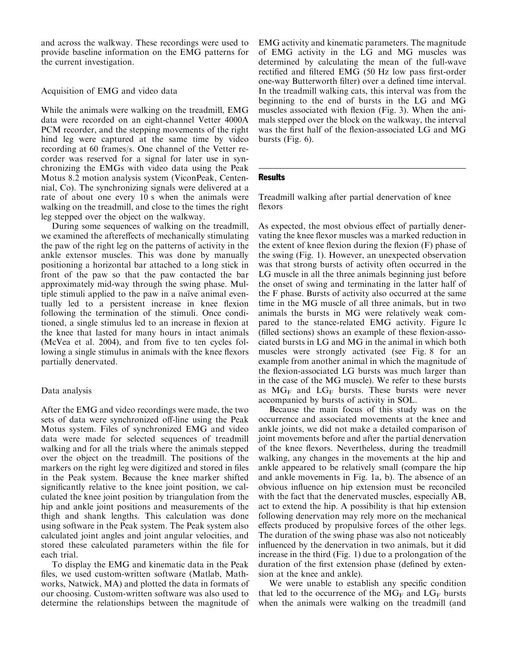and across the walkway. These recordings were used to provide baseline information on the EMG patterns for the current investigation.

# Acquisition of EMG and video data

While the animals were walking on the treadmill, EMG data were recorded on an eight-channel Vetter 4000A PCM recorder, and the stepping movements of the right hind leg were captured at the same time by video recording at 60 frames/s. One channel of the Vetter recorder was reserved for a signal for later use in synchronizing the EMGs with video data using the Peak Motus 8.2 motion analysis system (ViconPeak, Centennial, Co). The synchronizing signals were delivered at a rate of about one every 10 s when the animals were walking on the treadmill, and close to the times the right leg stepped over the object on the walkway.

During some sequences of walking on the treadmill, we examined the aftereffects of mechanically stimulating the paw of the right leg on the patterns of activity in the ankle extensor muscles. This was done by manually positioning a horizontal bar attached to a long stick in front of the paw so that the paw contacted the bar approximately mid-way through the swing phase. Multiple stimuli applied to the paw in a naïve animal eventually led to a persistent increase in knee flexion following the termination of the stimuli. Once conditioned, a single stimulus led to an increase in flexion at the knee that lasted for many hours in intact animals (McVea et al. 2004), and from five to ten cycles following a single stimulus in animals with the knee flexors partially denervated.

# Data analysis

After the EMG and video recordings were made, the two sets of data were synchronized off-line using the Peak Motus system. Files of synchronized EMG and video data were made for selected sequences of treadmill walking and for all the trials where the animals stepped over the object on the treadmill. The positions of the markers on the right leg were digitized and stored in files in the Peak system. Because the knee marker shifted significantly relative to the knee joint position, we calculated the knee joint position by triangulation from the hip and ankle joint positions and measurements of the thigh and shank lengths. This calculation was done using software in the Peak system. The Peak system also calculated joint angles and joint angular velocities, and stored these calculated parameters within the file for each trial.

To display the EMG and kinematic data in the Peak files, we used custom-written software (Matlab, Mathworks, Natwick, MA) and plotted the data in formats of our choosing. Custom-written software was also used to determine the relationships between the magnitude of EMG activity and kinematic parameters. The magnitude of EMG activity in the LG and MG muscles was determined by calculating the mean of the full-wave rectified and filtered EMG (50 Hz low pass first-order one-way Butterworth filter) over a defined time interval. In the treadmill walking cats, this interval was from the beginning to the end of bursts in the LG and MG muscles associated with flexion (Fig. 3). When the animals stepped over the block on the walkway, the interval was the first half of the flexion-associated LG and MG bursts (Fig. 6).

# Results

Treadmill walking after partial denervation of knee flexors

As expected, the most obvious effect of partially denervating the knee flexor muscles was a marked reduction in the extent of knee flexion during the flexion (F) phase of the swing (Fig. 1). However, an unexpected observation was that strong bursts of activity often occurred in the LG muscle in all the three animals beginning just before the onset of swing and terminating in the latter half of the F phase. Bursts of activity also occurred at the same time in the MG muscle of all three animals, but in two animals the bursts in MG were relatively weak compared to the stance-related EMG activity. Figure 1c (filled sections) shows an example of these flexion-associated bursts in LG and MG in the animal in which both muscles were strongly activated (see Fig. 8 for an example from another animal in which the magnitude of the flexion-associated LG bursts was much larger than in the case of the MG muscle). We refer to these bursts as  $MG_F$  and  $LG_F$  bursts. These bursts were never accompanied by bursts of activity in SOL.

Because the main focus of this study was on the occurrence and associated movements at the knee and ankle joints, we did not make a detailed comparison of joint movements before and after the partial denervation of the knee flexors. Nevertheless, during the treadmill walking, any changes in the movements at the hip and ankle appeared to be relatively small (compare the hip and ankle movements in Fig. 1a, b). The absence of an obvious influence on hip extension must be reconciled with the fact that the denervated muscles, especially AB, act to extend the hip. A possibility is that hip extension following denervation may rely more on the mechanical effects produced by propulsive forces of the other legs. The duration of the swing phase was also not noticeably influenced by the denervation in two animals, but it did increase in the third (Fig. 1) due to a prolongation of the duration of the first extension phase (defined by extension at the knee and ankle).

We were unable to establish any specific condition that led to the occurrence of the  $MG_F$  and  $LG_F$  bursts when the animals were walking on the treadmill (and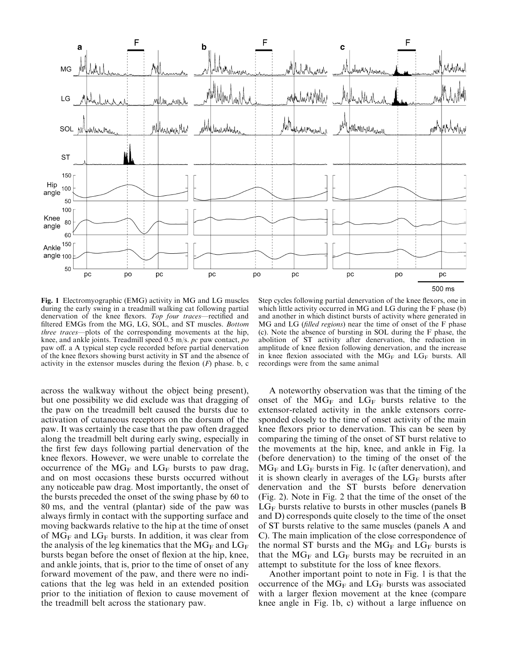

Fig. 1 Electromyographic (EMG) activity in MG and LG muscles during the early swing in a treadmill walking cat following partial denervation of the knee flexors. Top four traces—rectified and filtered EMGs from the MG, LG, SOL, and ST muscles. Bottom three traces—plots of the corresponding movements at the hip, knee, and ankle joints. Treadmill speed 0.5 m/s. pc paw contact, po paw off. a A typical step cycle recorded before partial denervation of the knee flexors showing burst activity in ST and the absence of activity in the extensor muscles during the flexion  $(F)$  phase. b, c

Step cycles following partial denervation of the knee flexors, one in which little activity occurred in MG and LG during the F phase (b) and another in which distinct bursts of activity where generated in MG and LG (filled regions) near the time of onset of the F phase (c). Note the absence of bursting in SOL during the F phase, the abolition of ST activity after denervation, the reduction in amplitude of knee flexion following denervation, and the increase in knee flexion associated with the  $MG_F$  and  $LG_F$  bursts. All recordings were from the same animal

across the walkway without the object being present), but one possibility we did exclude was that dragging of the paw on the treadmill belt caused the bursts due to activation of cutaneous receptors on the dorsum of the paw. It was certainly the case that the paw often dragged along the treadmill belt during early swing, especially in the first few days following partial denervation of the knee flexors. However, we were unable to correlate the occurrence of the  $MG_F$  and  $LG_F$  bursts to paw drag, and on most occasions these bursts occurred without any noticeable paw drag. Most importantly, the onset of the bursts preceded the onset of the swing phase by 60 to 80 ms, and the ventral (plantar) side of the paw was always firmly in contact with the supporting surface and moving backwards relative to the hip at the time of onset of  $MG_F$  and  $LG_F$  bursts. In addition, it was clear from the analysis of the leg kinematics that the  $MG_F$  and  $LG_F$ bursts began before the onset of flexion at the hip, knee, and ankle joints, that is, prior to the time of onset of any forward movement of the paw, and there were no indications that the leg was held in an extended position prior to the initiation of flexion to cause movement of the treadmill belt across the stationary paw.

A noteworthy observation was that the timing of the onset of the  $MG_F$  and  $LG_F$  bursts relative to the extensor-related activity in the ankle extensors corresponded closely to the time of onset activity of the main knee flexors prior to denervation. This can be seen by comparing the timing of the onset of ST burst relative to the movements at the hip, knee, and ankle in Fig. 1a (before denervation) to the timing of the onset of the  $MG_F$  and  $LG_F$  bursts in Fig. 1c (after denervation), and it is shown clearly in averages of the  $LG_F$  bursts after denervation and the ST bursts before denervation (Fig. 2). Note in Fig. 2 that the time of the onset of the  $LG_F$  bursts relative to bursts in other muscles (panels B and D) corresponds quite closely to the time of the onset of ST bursts relative to the same muscles (panels A and C). The main implication of the close correspondence of the normal ST bursts and the  $MG_F$  and  $LG_F$  bursts is that the  $MG_F$  and  $LG_F$  bursts may be recruited in an attempt to substitute for the loss of knee flexors.

Another important point to note in Fig. 1 is that the occurrence of the  $MG_F$  and  $LG_F$  bursts was associated with a larger flexion movement at the knee (compare knee angle in Fig. 1b, c) without a large influence on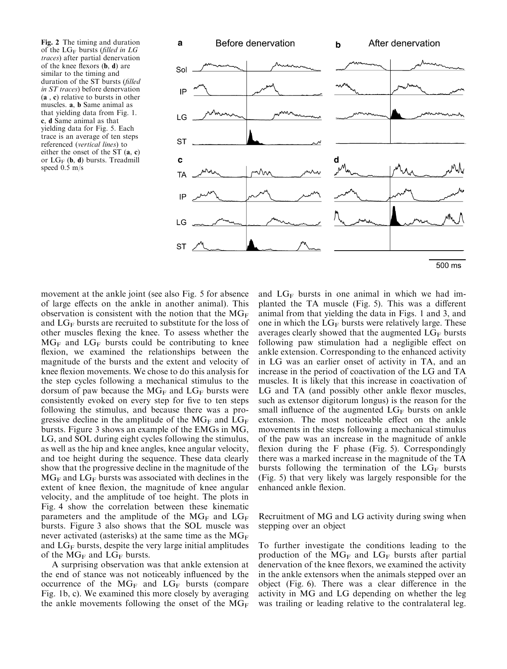Fig. 2 The timing and duration of the  $LG_F$  bursts (filled in LG traces) after partial denervation of the knee flexors (b, d) are similar to the timing and duration of the ST bursts (filled in ST traces) before denervation (a , c) relative to bursts in other muscles. a, b Same animal as that yielding data from Fig. 1. c, d Same animal as that yielding data for Fig. 5. Each trace is an average of ten steps referenced (vertical lines) to either the onset of the ST (a, c) or  $LG_F$  (b, d) bursts. Treadmill speed 0.5 m/s



500 ms

movement at the ankle joint (see also Fig. 5 for absence of large effects on the ankle in another animal). This observation is consistent with the notion that the  $MG_F$ and  $LG_F$  bursts are recruited to substitute for the loss of other muscles flexing the knee. To assess whether the  $MG_F$  and  $LG_F$  bursts could be contributing to knee flexion, we examined the relationships between the magnitude of the bursts and the extent and velocity of knee flexion movements. We chose to do this analysis for the step cycles following a mechanical stimulus to the dorsum of paw because the  $MG_F$  and  $LG_F$  bursts were consistently evoked on every step for five to ten steps following the stimulus, and because there was a progressive decline in the amplitude of the  $MG_F$  and  $LG_F$ bursts. Figure 3 shows an example of the EMGs in MG, LG, and SOL during eight cycles following the stimulus, as well as the hip and knee angles, knee angular velocity, and toe height during the sequence. These data clearly show that the progressive decline in the magnitude of the  $MG_F$  and  $LG_F$  bursts was associated with declines in the extent of knee flexion, the magnitude of knee angular velocity, and the amplitude of toe height. The plots in Fig. 4 show the correlation between these kinematic parameters and the amplitude of the  $MG_F$  and  $LG_F$ bursts. Figure 3 also shows that the SOL muscle was never activated (asterisks) at the same time as the  $MG_F$ and  $LG_F$  bursts, despite the very large initial amplitudes of the  $MG_F$  and  $LG_F$  bursts.

A surprising observation was that ankle extension at the end of stance was not noticeably influenced by the occurrence of the  $MG_F$  and  $LG_F$  bursts (compare Fig. 1b, c). We examined this more closely by averaging the ankle movements following the onset of the  $MG_F$  and  $LG_F$  bursts in one animal in which we had implanted the TA muscle (Fig. 5). This was a different animal from that yielding the data in Figs. 1 and 3, and one in which the  $LG_F$  bursts were relatively large. These averages clearly showed that the augmented  $LG_F$  bursts following paw stimulation had a negligible effect on ankle extension. Corresponding to the enhanced activity in LG was an earlier onset of activity in TA, and an increase in the period of coactivation of the LG and TA muscles. It is likely that this increase in coactivation of LG and TA (and possibly other ankle flexor muscles, such as extensor digitorum longus) is the reason for the small influence of the augmented  $LG_F$  bursts on ankle extension. The most noticeable effect on the ankle movements in the steps following a mechanical stimulus of the paw was an increase in the magnitude of ankle flexion during the F phase (Fig. 5). Correspondingly there was a marked increase in the magnitude of the TA bursts following the termination of the  $LG_F$  bursts (Fig. 5) that very likely was largely responsible for the enhanced ankle flexion.

Recruitment of MG and LG activity during swing when stepping over an object

To further investigate the conditions leading to the production of the  $MG_F$  and  $LG_F$  bursts after partial denervation of the knee flexors, we examined the activity in the ankle extensors when the animals stepped over an object (Fig. 6). There was a clear difference in the activity in MG and LG depending on whether the leg was trailing or leading relative to the contralateral leg.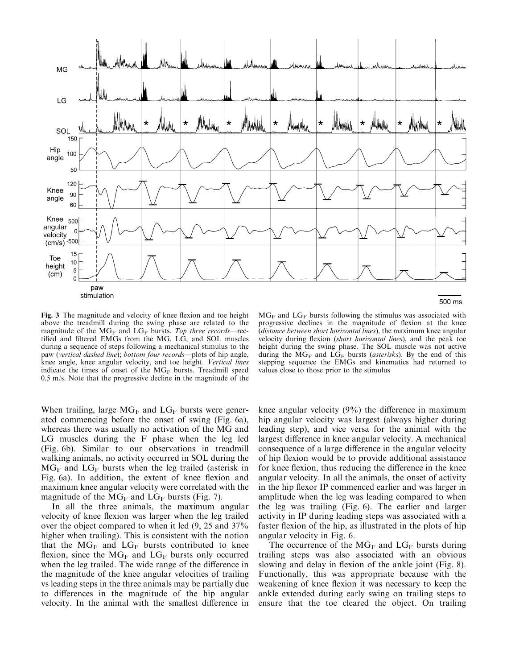

Fig. 3 The magnitude and velocity of knee flexion and toe height above the treadmill during the swing phase are related to the magnitude of the  $MG_F$  and  $LG_F$  bursts. Top three records—rectified and filtered EMGs from the MG, LG, and SOL muscles during a sequence of steps following a mechanical stimulus to the paw (vertical dashed line); bottom four records—plots of hip angle, knee angle, knee angular velocity, and toe height. Vertical lines indicate the times of onset of the  $MG<sub>F</sub>$  bursts. Treadmill speed 0.5 m/s. Note that the progressive decline in the magnitude of the

 $MG_F$  and  $LG_F$  bursts following the stimulus was associated with progressive declines in the magnitude of flexion at the knee (distance between short horizontal lines), the maximum knee angular velocity during flexion (short horizontal lines), and the peak toe height during the swing phase. The SOL muscle was not active during the  $MG_F$  and  $LG_F$  bursts (asterisks). By the end of this stepping sequence the EMGs and kinematics had returned to values close to those prior to the stimulus

When trailing, large  $MG_F$  and  $LG_F$  bursts were generated commencing before the onset of swing (Fig. 6a), whereas there was usually no activation of the MG and LG muscles during the F phase when the leg led (Fig. 6b). Similar to our observations in treadmill walking animals, no activity occurred in SOL during the  $MG_F$  and  $LG_F$  bursts when the leg trailed (asterisk in Fig. 6a). In addition, the extent of knee flexion and maximum knee angular velocity were correlated with the magnitude of the  $MG_F$  and  $LG_F$  bursts (Fig. 7).

In all the three animals, the maximum angular velocity of knee flexion was larger when the leg trailed over the object compared to when it led (9, 25 and 37% higher when trailing). This is consistent with the notion that the  $MG_F$  and  $LG_F$  bursts contributed to knee flexion, since the  $MG_F$  and  $LG_F$  bursts only occurred when the leg trailed. The wide range of the difference in the magnitude of the knee angular velocities of trailing vs leading steps in the three animals may be partially due to differences in the magnitude of the hip angular velocity. In the animal with the smallest difference in

knee angular velocity (9%) the difference in maximum hip angular velocity was largest (always higher during leading step), and vice versa for the animal with the largest difference in knee angular velocity. A mechanical consequence of a large difference in the angular velocity of hip flexion would be to provide additional assistance for knee flexion, thus reducing the difference in the knee angular velocity. In all the animals, the onset of activity in the hip flexor IP commenced earlier and was larger in amplitude when the leg was leading compared to when the leg was trailing (Fig. 6). The earlier and larger activity in IP during leading steps was associated with a faster flexion of the hip, as illustrated in the plots of hip angular velocity in Fig. 6.

The occurrence of the  $MG_F$  and  $LG_F$  bursts during trailing steps was also associated with an obvious slowing and delay in flexion of the ankle joint (Fig. 8). Functionally, this was appropriate because with the weakening of knee flexion it was necessary to keep the ankle extended during early swing on trailing steps to ensure that the toe cleared the object. On trailing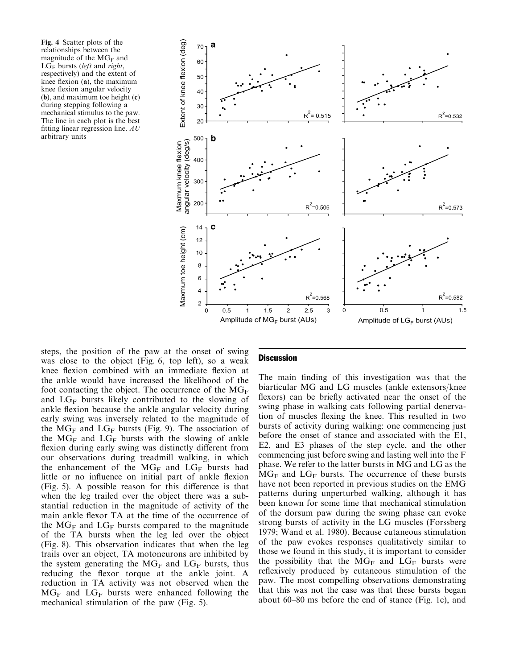Fig. 4 Scatter plots of the relationships between the magnitude of the  $MG<sub>F</sub>$  and  $LG_F$  bursts (left and right, respectively) and the extent of knee flexion (a), the maximum knee flexion angular velocity (b), and maximum toe height (c) during stepping following a mechanical stimulus to the paw. The line in each plot is the best fitting linear regression line.  $AU$ arbitrary units



steps, the position of the paw at the onset of swing was close to the object (Fig. 6, top left), so a weak knee flexion combined with an immediate flexion at the ankle would have increased the likelihood of the foot contacting the object. The occurrence of the  $MG_F$ and  $LG_F$  bursts likely contributed to the slowing of ankle flexion because the ankle angular velocity during early swing was inversely related to the magnitude of the  $MG_F$  and  $LG_F$  bursts (Fig. 9). The association of the  $MG_F$  and  $LG_F$  bursts with the slowing of ankle flexion during early swing was distinctly different from our observations during treadmill walking, in which the enhancement of the  $MG_F$  and  $LG_F$  bursts had little or no influence on initial part of ankle flexion (Fig. 5). A possible reason for this difference is that when the leg trailed over the object there was a substantial reduction in the magnitude of activity of the main ankle flexor TA at the time of the occurrence of the  $MG_F$  and  $LG_F$  bursts compared to the magnitude of the TA bursts when the leg led over the object (Fig. 8). This observation indicates that when the leg trails over an object, TA motoneurons are inhibited by the system generating the  $MG_F$  and  $LG_F$  bursts, thus reducing the flexor torque at the ankle joint. A reduction in TA activity was not observed when the  $MG_F$  and  $LG_F$  bursts were enhanced following the mechanical stimulation of the paw (Fig. 5).

#### **Discussion**

The main finding of this investigation was that the biarticular MG and LG muscles (ankle extensors/knee flexors) can be briefly activated near the onset of the swing phase in walking cats following partial denervation of muscles flexing the knee. This resulted in two bursts of activity during walking: one commencing just before the onset of stance and associated with the E1, E2, and E3 phases of the step cycle, and the other commencing just before swing and lasting well into the F phase. We refer to the latter bursts in MG and LG as the  $MG_F$  and  $LG_F$  bursts. The occurrence of these bursts have not been reported in previous studies on the EMG patterns during unperturbed walking, although it has been known for some time that mechanical stimulation of the dorsum paw during the swing phase can evoke strong bursts of activity in the LG muscles (Forssberg 1979; Wand et al. 1980). Because cutaneous stimulation of the paw evokes responses qualitatively similar to those we found in this study, it is important to consider the possibility that the  $MG_F$  and  $LG_F$  bursts were reflexively produced by cutaneous stimulation of the paw. The most compelling observations demonstrating that this was not the case was that these bursts began about 60–80 ms before the end of stance (Fig. 1c), and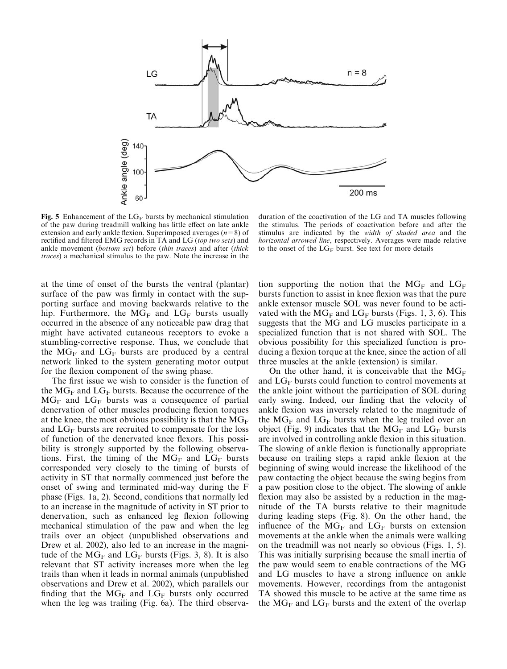

Fig. 5 Enhancement of the  $LG_F$  bursts by mechanical stimulation of the paw during treadmill walking has little effect on late ankle extension and early ankle flexion. Superimposed averages  $(n=8)$  of rectified and filtered EMG records in TA and LG (top two sets) and ankle movement (bottom set) before (thin traces) and after (thick traces) a mechanical stimulus to the paw. Note the increase in the

duration of the coactivation of the LG and TA muscles following the stimulus. The periods of coactivation before and after the stimulus are indicated by the *width of shaded area* and the horizontal arrowed line, respectively. Averages were made relative to the onset of the  $LG_F$  burst. See text for more details

at the time of onset of the bursts the ventral (plantar) surface of the paw was firmly in contact with the supporting surface and moving backwards relative to the hip. Furthermore, the  $MG_F$  and  $LG_F$  bursts usually occurred in the absence of any noticeable paw drag that might have activated cutaneous receptors to evoke a stumbling-corrective response. Thus, we conclude that the  $MG_F$  and  $LG_F$  bursts are produced by a central network linked to the system generating motor output for the flexion component of the swing phase.

The first issue we wish to consider is the function of the  $MG_F$  and  $LG_F$  bursts. Because the occurrence of the  $MG_F$  and  $LG_F$  bursts was a consequence of partial denervation of other muscles producing flexion torques at the knee, the most obvious possibility is that the  $MG_F$ and  $LG_F$  bursts are recruited to compensate for the loss of function of the denervated knee flexors. This possibility is strongly supported by the following observations. First, the timing of the  $MG_F$  and  $LG_F$  bursts corresponded very closely to the timing of bursts of activity in ST that normally commenced just before the onset of swing and terminated mid-way during the F phase (Figs. 1a, 2). Second, conditions that normally led to an increase in the magnitude of activity in ST prior to denervation, such as enhanced leg flexion following mechanical stimulation of the paw and when the leg trails over an object (unpublished observations and Drew et al. 2002), also led to an increase in the magnitude of the  $MG_F$  and  $LG_F$  bursts (Figs. 3, 8). It is also relevant that ST activity increases more when the leg trails than when it leads in normal animals (unpublished observations and Drew et al. 2002), which parallels our finding that the  $MG_F$  and  $LG_F$  bursts only occurred when the leg was trailing (Fig. 6a). The third observation supporting the notion that the  $MG_F$  and  $LG_F$ bursts function to assist in knee flexion was that the pure ankle extensor muscle SOL was never found to be activated with the  $MG_F$  and  $LG_F$  bursts (Figs. 1, 3, 6). This suggests that the MG and LG muscles participate in a specialized function that is not shared with SOL. The obvious possibility for this specialized function is producing a flexion torque at the knee, since the action of all three muscles at the ankle (extension) is similar.

On the other hand, it is conceivable that the  $MG_F$ and  $LG_F$  bursts could function to control movements at the ankle joint without the participation of SOL during early swing. Indeed, our finding that the velocity of ankle flexion was inversely related to the magnitude of the  $MG_F$  and  $LG_F$  bursts when the leg trailed over an object (Fig. 9) indicates that the  $MG_F$  and  $LG_F$  bursts are involved in controlling ankle flexion in this situation. The slowing of ankle flexion is functionally appropriate because on trailing steps a rapid ankle flexion at the beginning of swing would increase the likelihood of the paw contacting the object because the swing begins from a paw position close to the object. The slowing of ankle flexion may also be assisted by a reduction in the magnitude of the TA bursts relative to their magnitude during leading steps (Fig. 8). On the other hand, the influence of the  $MG_F$  and  $LG_F$  bursts on extension movements at the ankle when the animals were walking on the treadmill was not nearly so obvious (Figs. 1, 5). This was initially surprising because the small inertia of the paw would seem to enable contractions of the MG and LG muscles to have a strong influence on ankle movements. However, recordings from the antagonist TA showed this muscle to be active at the same time as the  $MG_F$  and  $LG_F$  bursts and the extent of the overlap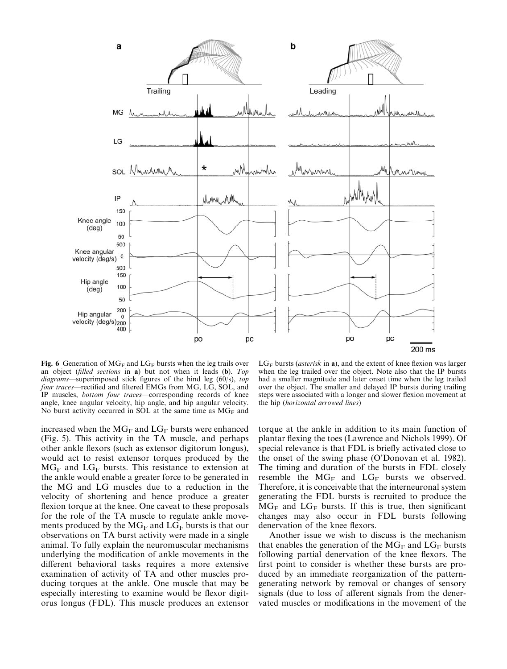

Fig. 6 Generation of  $MG_F$  and  $LG_F$  bursts when the leg trails over an object (filled sections in a) but not when it leads (b). Top diagrams—superimposed stick figures of the hind leg (60/s), top four traces—rectified and filtered EMGs from MG, LG, SOL, and IP muscles, bottom four traces—corresponding records of knee angle, knee angular velocity, hip angle, and hip angular velocity. No burst activity occurred in SOL at the same time as  $MG<sub>F</sub>$  and

increased when the  $MG_F$  and  $LG_F$  bursts were enhanced (Fig. 5). This activity in the TA muscle, and perhaps other ankle flexors (such as extensor digitorum longus), would act to resist extensor torques produced by the  $MG_F$  and  $LG_F$  bursts. This resistance to extension at the ankle would enable a greater force to be generated in the MG and LG muscles due to a reduction in the velocity of shortening and hence produce a greater flexion torque at the knee. One caveat to these proposals for the role of the TA muscle to regulate ankle movements produced by the  $MG<sub>F</sub>$  and  $LG<sub>F</sub>$  bursts is that our observations on TA burst activity were made in a single animal. To fully explain the neuromuscular mechanisms underlying the modification of ankle movements in the different behavioral tasks requires a more extensive examination of activity of TA and other muscles producing torques at the ankle. One muscle that may be especially interesting to examine would be flexor digitorus longus (FDL). This muscle produces an extensor

 $LG_F$  bursts (*asterisk* in a), and the extent of knee flexion was larger when the leg trailed over the object. Note also that the IP bursts had a smaller magnitude and later onset time when the leg trailed over the object. The smaller and delayed IP bursts during trailing steps were associated with a longer and slower flexion movement at the hip (horizontal arrowed lines)

torque at the ankle in addition to its main function of plantar flexing the toes (Lawrence and Nichols 1999). Of special relevance is that FDL is briefly activated close to the onset of the swing phase (O'Donovan et al. 1982). The timing and duration of the bursts in FDL closely resemble the  $MG_F$  and  $LG_F$  bursts we observed. Therefore, it is conceivable that the interneuronal system generating the FDL bursts is recruited to produce the  $MG_F$  and  $LG_F$  bursts. If this is true, then significant changes may also occur in FDL bursts following denervation of the knee flexors.

Another issue we wish to discuss is the mechanism that enables the generation of the  $MG_F$  and  $LG_F$  bursts following partial denervation of the knee flexors. The first point to consider is whether these bursts are produced by an immediate reorganization of the patterngenerating network by removal or changes of sensory signals (due to loss of afferent signals from the denervated muscles or modifications in the movement of the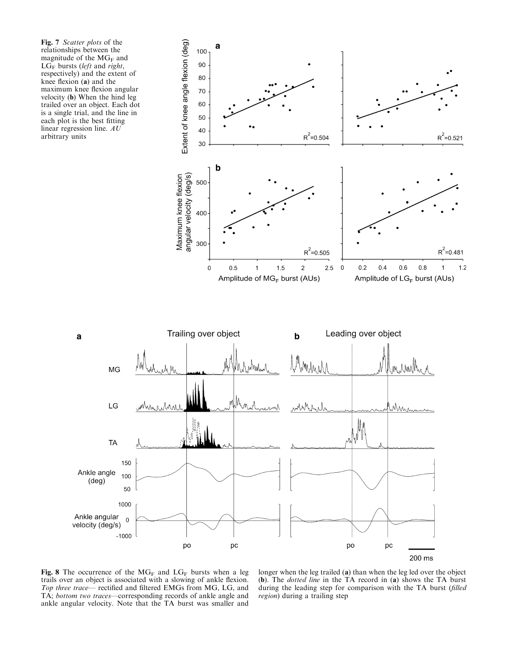Fig. 7 Scatter plots of the relationships between the magnitude of the  $MG_F$  and  $LG_F$  bursts (left and right, respectively) and the extent of knee flexion (a) and the maximum knee flexion angular velocity (b) When the hind leg trailed over an object. Each dot is a single trial, and the line in each plot is the best fitting linear regression line. AU arbitrary units





200 ms

Fig. 8 The occurrence of the  $MG_F$  and  $LG_F$  bursts when a leg trails over an object is associated with a slowing of ankle flexion. Top three trace— rectified and filtered EMGs from MG, LG, and TA; bottom two traces—corresponding records of ankle angle and ankle angular velocity. Note that the TA burst was smaller and

longer when the leg trailed (a) than when the leg led over the object (b). The dotted line in the TA record in (a) shows the TA burst during the leading step for comparison with the TA burst (filled region) during a trailing step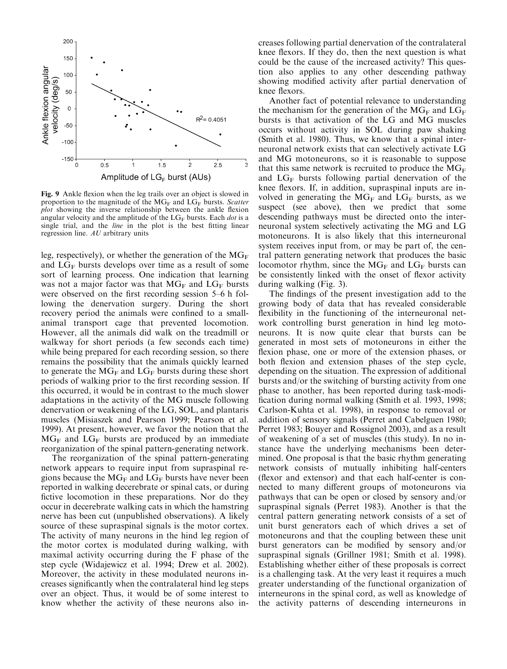

Fig. 9 Ankle flexion when the leg trails over an object is slowed in proportion to the magnitude of the  $MG_F$  and  $LG_F$  bursts. Scatter plot showing the inverse relationship between the ankle flexion angular velocity and the amplitude of the  $LG_F$  bursts. Each *dot* is a single trial, and the *line* in the plot is the best fitting linear regression line. AU arbitrary units

leg, respectively), or whether the generation of the  $MG_F$ and  $LG_F$  bursts develops over time as a result of some sort of learning process. One indication that learning was not a major factor was that  $MG_F$  and  $LG_F$  bursts were observed on the first recording session 5–6 h following the denervation surgery. During the short recovery period the animals were confined to a smallanimal transport cage that prevented locomotion. However, all the animals did walk on the treadmill or walkway for short periods (a few seconds each time) while being prepared for each recording session, so there remains the possibility that the animals quickly learned to generate the  $MG_F$  and  $LG_F$  bursts during these short periods of walking prior to the first recording session. If this occurred, it would be in contrast to the much slower adaptations in the activity of the MG muscle following denervation or weakening of the LG, SOL, and plantaris muscles (Misiaszek and Pearson 1999; Pearson et al. 1999). At present, however, we favor the notion that the  $MG_F$  and  $LG_F$  bursts are produced by an immediate reorganization of the spinal pattern-generating network.

The reorganization of the spinal pattern-generating network appears to require input from supraspinal regions because the  $MG_F$  and  $LG_F$  bursts have never been reported in walking decerebrate or spinal cats, or during fictive locomotion in these preparations. Nor do they occur in decerebrate walking cats in which the hamstring nerve has been cut (unpublished observations). A likely source of these supraspinal signals is the motor cortex. The activity of many neurons in the hind leg region of the motor cortex is modulated during walking, with maximal activity occurring during the F phase of the step cycle (Widajewicz et al. 1994; Drew et al. 2002). Moreover, the activity in these modulated neurons increases significantly when the contralateral hind leg steps over an object. Thus, it would be of some interest to know whether the activity of these neurons also increases following partial denervation of the contralateral knee flexors. If they do, then the next question is what could be the cause of the increased activity? This question also applies to any other descending pathway showing modified activity after partial denervation of knee flexors.

Another fact of potential relevance to understanding the mechanism for the generation of the  $MG_F$  and  $LG_F$ bursts is that activation of the LG and MG muscles occurs without activity in SOL during paw shaking (Smith et al. 1980). Thus, we know that a spinal interneuronal network exists that can selectively activate LG and MG motoneurons, so it is reasonable to suppose that this same network is recruited to produce the  $MG_F$ and  $LG_F$  bursts following partial denervation of the knee flexors. If, in addition, supraspinal inputs are involved in generating the  $MG_F$  and  $LG_F$  bursts, as we suspect (see above), then we predict that some descending pathways must be directed onto the interneuronal system selectively activating the MG and LG motoneurons. It is also likely that this interneuronal system receives input from, or may be part of, the central pattern generating network that produces the basic locomotor rhythm, since the  $MG_F$  and  $LG_F$  bursts can be consistently linked with the onset of flexor activity during walking (Fig. 3).

The findings of the present investigation add to the growing body of data that has revealed considerable flexibility in the functioning of the interneuronal network controlling burst generation in hind leg motoneurons. It is now quite clear that bursts can be generated in most sets of motoneurons in either the flexion phase, one or more of the extension phases, or both flexion and extension phases of the step cycle, depending on the situation. The expression of additional bursts and/or the switching of bursting activity from one phase to another, has been reported during task-modification during normal walking (Smith et al. 1993, 1998; Carlson-Kuhta et al. 1998), in response to removal or addition of sensory signals (Perret and Cabelguen 1980; Perret 1983; Bouyer and Rossignol 2003), and as a result of weakening of a set of muscles (this study). In no instance have the underlying mechanisms been determined. One proposal is that the basic rhythm generating network consists of mutually inhibiting half-centers (flexor and extensor) and that each half-center is connected to many different groups of motoneurons via pathways that can be open or closed by sensory and/or supraspinal signals (Perret 1983). Another is that the central pattern generating network consists of a set of unit burst generators each of which drives a set of motoneurons and that the coupling between these unit burst generators can be modified by sensory and/or supraspinal signals (Grillner 1981; Smith et al. 1998). Establishing whether either of these proposals is correct is a challenging task. At the very least it requires a much greater understanding of the functional organization of interneurons in the spinal cord, as well as knowledge of the activity patterns of descending interneurons in